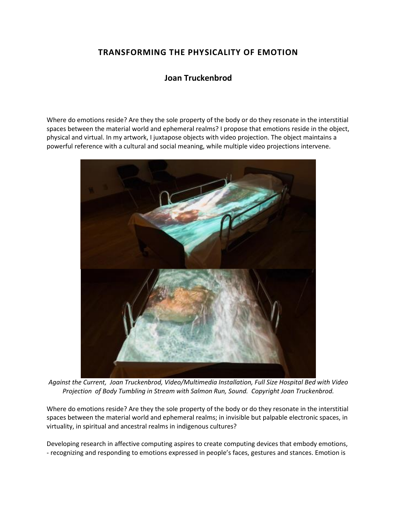# **TRANSFORMING THE PHYSICALITY OF EMOTION**

## **Joan Truckenbrod**

Where do emotions reside? Are they the sole property of the body or do they resonate in the interstitial spaces between the material world and ephemeral realms? I propose that emotions reside in the object, physical and virtual. In my artwork, I juxtapose objects with video projection. The object maintains a powerful reference with a cultural and social meaning, while multiple video projections intervene.



*Against the Current, Joan Truckenbrod, Video/Multimedia Installation, Full Size Hospital Bed with Video Projection of Body Tumbling in Stream with Salmon Run, Sound. Copyright Joan Truckenbrod.* 

Where do emotions reside? Are they the sole property of the body or do they resonate in the interstitial spaces between the material world and ephemeral realms; in invisible but palpable electronic spaces, in virtuality, in spiritual and ancestral realms in indigenous cultures?

Developing research in affective computing aspires to create computing devices that embody emotions, - recognizing and responding to emotions expressed in people's faces, gestures and stances. Emotion is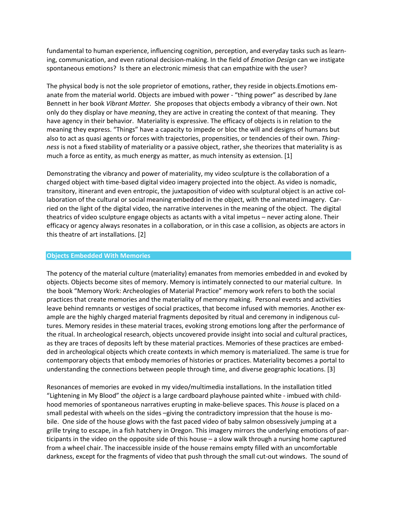fundamental to human experience, influencing cognition, perception, and everyday tasks such as learning, communication, and even rational decision-making. In the field of *Emotion Design* can we instigate spontaneous emotions? Is there an electronic mimesis that can empathize with the user?

The physical body is not the sole proprietor of emotions, rather, they reside in objects.Emotions emanate from the material world. Objects are imbued with power - "thing power" as described by Jane Bennett in her book *Vibrant Matter.* She proposes that objects embody a vibrancy of their own. Not only do they display or have *meaning*, they are active in creating the context of that meaning. They have agency in their behavior. Materiality is expressive. The efficacy of objects is in relation to the meaning they express. "Things" have a capacity to impede or bloc the will and designs of humans but also to act as quasi agents or forces with trajectories, propensities, or tendencies of their own. *Thingness* is not a fixed stability of materiality or a passive object, rather, she theorizes that materiality is as much a force as entity, as much energy as matter, as much intensity as extension. [1]

Demonstrating the vibrancy and power of materiality, my video sculpture is the collaboration of a charged object with time-based digital video imagery projected into the object. As video is nomadic, transitory, itinerant and even entropic, the juxtaposition of video with sculptural object is an active collaboration of the cultural or social meaning embedded in the object, with the animated imagery. Carried on the light of the digital video, the narrative intervenes in the meaning of the object. The digital theatrics of video sculpture engage objects as actants with a vital impetus – never acting alone. Their efficacy or agency always resonates in a collaboration, or in this case a collision, as objects are actors in this theatre of art installations. [2]

#### **Objects Embedded With Memories**

The potency of the material culture (materiality) emanates from memories embedded in and evoked by objects. Objects become sites of memory. Memory is intimately connected to our material culture. In the book "Memory Work: Archeologies of Material Practice" memory work refers to both the social practices that create memories and the materiality of memory making. Personal events and activities leave behind remnants or vestiges of social practices, that become infused with memories. Another example are the highly charged material fragments deposited by ritual and ceremony in indigenous cultures. Memory resides in these material traces, evoking strong emotions long after the performance of the ritual. In archeological research, objects uncovered provide insight into social and cultural practices, as they are traces of deposits left by these material practices. Memories of these practices are embedded in archeological objects which create contexts in which memory is materialized. The same is true for contemporary objects that embody memories of histories or practices. Materiality becomes a portal to understanding the connections between people through time, and diverse geographic locations. [3]

Resonances of memories are evoked in my video/multimedia installations. In the installation titled "Lightening in My Blood" the *object* is a large cardboard playhouse painted white - imbued with childhood memories of spontaneous narratives erupting in make-believe spaces. This *house* is placed on a small pedestal with wheels on the sides –giving the contradictory impression that the house is mobile. One side of the house glows with the fast paced video of baby salmon obsessively jumping at a grille trying to escape, in a fish hatchery in Oregon. This imagery mirrors the underlying emotions of participants in the video on the opposite side of this house – a slow walk through a nursing home captured from a wheel chair. The inaccessible inside of the house remains empty filled with an uncomfortable darkness, except for the fragments of video that push through the small cut-out windows. The sound of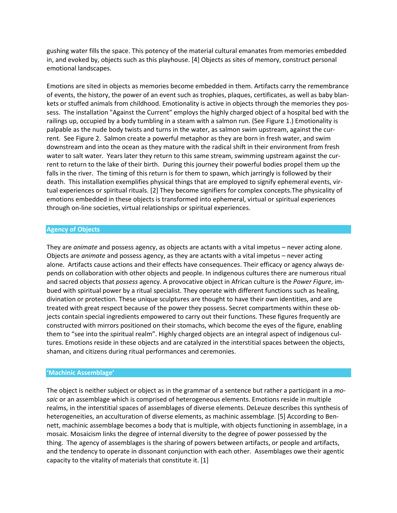gushing water fills the space. This potency of the material cultural emanates from memories embedded in, and evoked by, objects such as this playhouse. [4] Objects as sites of memory, construct personal emotional landscapes.

Emotions are sited in objects as memories become embedded in them. Artifacts carry the remembrance of events, the history, the power of an event such as trophies, plaques, certificates, as well as baby blankets or stuffed animals from childhood. Emotionality is active in objects through the memories they possess. The installation "Against the Current" employs the highly charged object of a hospital bed with the railings up, occupied by a body tumbling in a steam with a salmon run. (See Figure 1.) Emotionality is palpable as the nude body twists and turns in the water, as salmon swim upstream, against the current. See Figure 2. Salmon create a powerful metaphor as they are born in fresh water, and swim downstream and into the ocean as they mature with the radical shift in their environment from fresh water to salt water. Years later they return to this same stream, swimming upstream against the current to return to the lake of their birth. During this journey their powerful bodies propel them up the falls in the river. The timing of this return is for them to spawn, which jarringly is followed by their death. This installation exemplifies physical things that are employed to signify ephemeral events, virtual experiences or spiritual rituals. [2] They become signifiers for complex concepts.The physicality of emotions embedded in these objects is transformed into ephemeral, virtual or spiritual experiences through on-line societies, virtual relationships or spiritual experiences.

### **Agency of Objects**

They are *animate* and possess agency, as objects are actants with a vital impetus – never acting alone. Objects are *animate* and possess agency, as they are actants with a vital impetus – never acting alone. Artifacts cause actions and their effects have consequences. Their efficacy or agency always depends on collaboration with other objects and people. In indigenous cultures there are numerous ritual and sacred objects that *possess* agency. A provocative object in African culture is the *Power Figure*, imbued with spiritual power by a ritual specialist. They operate with different functions such as healing, divination or protection. These unique sculptures are thought to have their own identities, and are treated with great respect because of the power they possess. Secret compartments within these objects contain special ingredients empowered to carry out their functions. These figures frequently are constructed with mirrors positioned on their stomachs, which become the eyes of the figure, enabling them to "see into the spiritual realm". Highly charged objects are an integral aspect of indigenous cultures. Emotions reside in these objects and are catalyzed in the interstitial spaces between the objects, shaman, and citizens during ritual performances and ceremonies.

#### **'Machinic Assemblage'**

The object is neither subject or object as in the grammar of a sentence but rather a participant in a *mosaic* or an assemblage which is comprised of heterogeneous elements. Emotions reside in multiple realms, in the interstitial spaces of assemblages of diverse elements. DeLeuze describes this synthesis of heterogeneities, an acculturation of diverse elements, as machinic assemblag*e*. [5] According to Bennett, machinic assemblage becomes a body that is multiple, with objects functioning in assemblage, in a mosaic. Mosaicism links the degree of internal diversity to the degree of power possessed by the thing. The agency of assemblages is the sharing of powers between artifacts, or people and artifacts, and the tendency to operate in dissonant conjunction with each other. Assemblages owe their agentic capacity to the vitality of materials that constitute it. [1]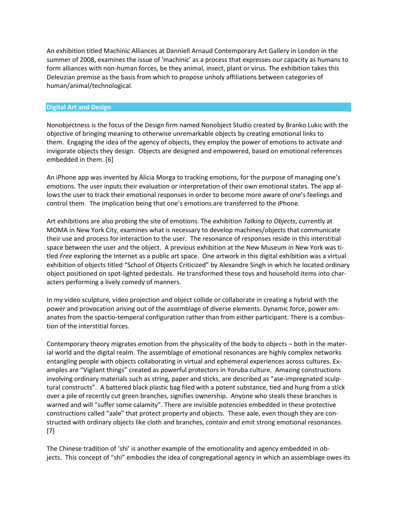An exhibition titled Machinic Alliances at Danniell Arnaud Contemporary Art Gallery in London in the summer of 2008, examines the issue of 'machinic' as a process that expresses our capacity as humans to form alliances with non-human forces, be they animal, insect, plant or virus. The exhibition takes this Deleuzian premise as the basis from which to propose unholy affiliations between categories of human/animal/technological.

### **Digital Art and Design**

Nonobjectness is the focus of the Design firm named Nonobject Studio created by Branko Lukic with the objective of bringing meaning to otherwise unremarkable objects by creating emotional links to them. Engaging the idea of the agency of objects, they employ the power of emotions to activate and invigorate objects they design. Objects are designed and empowered, based on emotional references embedded in them. [6]

An iPhone app was invented by Alicia Morga to tracking emotions, for the purpose of managing one's emotions. The user inputs their evaluation or interpretation of their own emotional states. The app allows the user to track their emotional responses in order to become more aware of one's feelings and control them. The implication being that one's emotions are transferred to the iPhone.

Art exhibitions are also probing the site of emotions. The exhibition *Talking to Objects*, currently at MOMA in New York City, examines what is necessary to develop machines/objects that communicate their use and process for interaction to the user. The resonance of responses reside in this interstitial space between the user and the object. A previous exhibition at the New Museum in New York was titled *Free* exploring the Internet as a public art space. One artwork in this digital exhibition was a virtual exhibition of objects titled "School of Objects Criticized" by Alexandre Singh in which he located ordinary object positioned on spot-lighted pedestals. He transformed these toys and household items into characters performing a lively comedy of manners.

In my video sculpture*,* video projection and object collide or collaborate in creating a hybrid with the power and provocation arising out of the assemblage of diverse elements. Dynamic force, power emanates from the spactio-temperal configuration rather than from either participant. There is a combustion of the interstitial forces.

Contemporary theory migrates emotion from the physicality of the body to objects – both in the material world and the digital realm. The assemblage of emotional resonances are highly complex networks entangling people with objects collaborating in virtual and ephemeral experiences across cultures. Examples are "Vigilant things" created as powerful protectors in Yoruba culture. Amazing constructions involving ordinary materials such as string, paper and sticks, are described as "ase-impregnated sculptural constructs". A battered black plastic bag filed with a potent substance, tied and hung from a stick over a pile of recently cut green branches, signifies ownership. Anyone who steals these branches is warned and will "suffer some calamity". There are invisible potencies embedded in these protective constructions called "aale" that protect property and objects. These aale, even though they are constructed with ordinary objects like cloth and branches, *contain* and emit strong emotional resonances. [7]

The Chinese tradition of 'shi' is another example of the emotionality and agency embedded in objects. This concept of "shi" embodies the idea of congregational agency in which an assemblage owes its